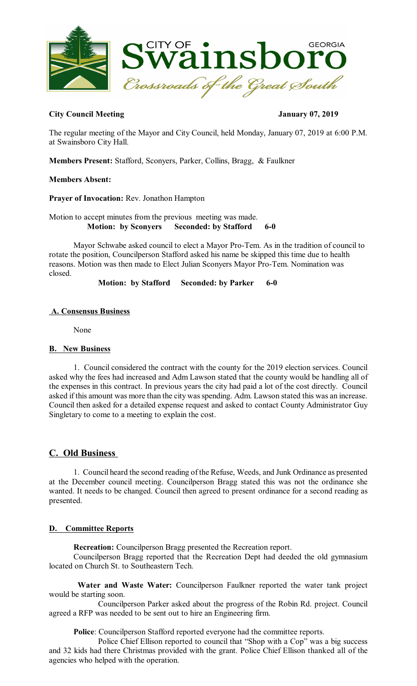

## **City Council Meeting January 07, 2019**

The regular meeting of the Mayor and City Council, held Monday, January 07, 2019 at 6:00 P.M. at Swainsboro City Hall.

**Members Present:** Stafford, Sconyers, Parker, Collins, Bragg, & Faulkner

## **Members Absent:**

**Prayer of Invocation:** Rev. Jonathon Hampton

Motion to accept minutes from the previous meeting was made. **Motion: by Sconyers Seconded: by Stafford 6-0** 

Mayor Schwabe asked council to elect a Mayor Pro-Tem. As in the tradition of council to rotate the position, Councilperson Stafford asked his name be skipped this time due to health reasons. Motion was then made to Elect Julian Sconyers Mayor Pro-Tem. Nomination was closed.

**Motion: by Stafford Seconded: by Parker 6-0** 

## **A. Consensus Business**

None

## **B. New Business**

1. Council considered the contract with the county for the 2019 election services. Council asked why the fees had increased and Adm Lawson stated that the county would be handling all of the expenses in this contract. In previous years the city had paid a lot of the cost directly. Council asked if this amount was more than the city was spending. Adm. Lawson stated this was an increase. Council then asked for a detailed expense request and asked to contact County Administrator Guy Singletary to come to a meeting to explain the cost.

# **C. Old Business**

1. Council heard the second reading of the Refuse, Weeds, and Junk Ordinance as presented at the December council meeting. Councilperson Bragg stated this was not the ordinance she wanted. It needs to be changed. Council then agreed to present ordinance for a second reading as presented.

## **D. Committee Reports**

**Recreation:** Councilperson Bragg presented the Recreation report.

Councilperson Bragg reported that the Recreation Dept had deeded the old gymnasium located on Church St. to Southeastern Tech.

**Water and Waste Water:** Councilperson Faulkner reported the water tank project would be starting soon.

Councilperson Parker asked about the progress of the Robin Rd. project. Council agreed a RFP was needed to be sent out to hire an Engineering firm.

**Police**: Councilperson Stafford reported everyone had the committee reports.

Police Chief Ellison reported to council that "Shop with a Cop" was a big success and 32 kids had there Christmas provided with the grant. Police Chief Ellison thanked all of the agencies who helped with the operation.